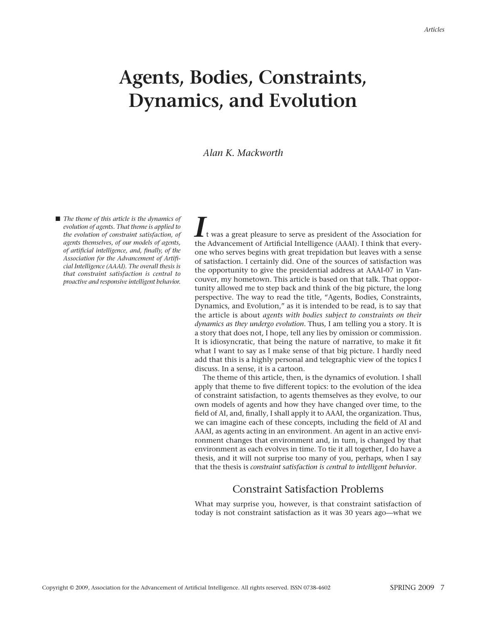# **Agents, Bodies, Constraints, Dynamics, and Evolution**

# *Alan K. Mackworth*

■ *The theme of this article is the dynamics of evolution of agents. That theme is applied to the evolution of constraint satisfaction, of agents themselves, of our models of agents, of artificial intelligence, and, finally, of the Association for the Advancement of Artificial Intelligence (AAAI). The overall thesis is that constraint satisfaction is central to proactive and responsive intelligent behavior.*

*I*t was a great pleasure to serve as president of the Association for the Advancement of Artificial Intelligence (AAAI). I think that everyone who serves begins with great trepidation but leaves with a sense of satisfaction. I certainly did. One of the sources of satisfaction was the opportunity to give the presidential address at AAAI-07 in Vancouver, my hometown. This article is based on that talk. That opportunity allowed me to step back and think of the big picture, the long perspective. The way to read the title, "Agents, Bodies, Constraints, Dynamics, and Evolution," as it is intended to be read, is to say that the article is about *agents with bodies subject to constraints on their dynamics as they undergo evolution*. Thus, I am telling you a story. It is a story that does not, I hope, tell any lies by omission or commission. It is idiosyncratic, that being the nature of narrative, to make it fit what I want to say as I make sense of that big picture. I hardly need add that this is a highly personal and telegraphic view of the topics I discuss. In a sense, it is a cartoon.

The theme of this article, then, is the dynamics of evolution. I shall apply that theme to five different topics: to the evolution of the idea of constraint satisfaction, to agents themselves as they evolve, to our own models of agents and how they have changed over time, to the field of AI, and, finally, I shall apply it to AAAI, the organization. Thus, we can imagine each of these concepts, including the field of AI and AAAI, as agents acting in an environment. An agent in an active environment changes that environment and, in turn, is changed by that environment as each evolves in time. To tie it all together, I do have a thesis, and it will not surprise too many of you, perhaps, when I say that the thesis is *constraint satisfaction is central to intelligent behavior*.

# Constraint Satisfaction Problems

What may surprise you, however, is that constraint satisfaction of today is not constraint satisfaction as it was 30 years ago—what we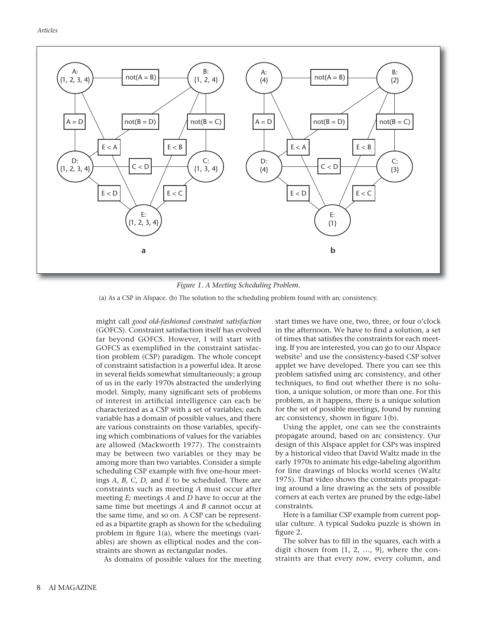

*Figure 1. A Meeting Scheduling Problem.*

(a) As a CSP in AIspace. (b) The solution to the scheduling problem found with arc consistency.

might call *good old-fashioned constraint satisfaction* (GOFCS). Constraint satisfaction itself has evolved far beyond GOFCS. However, I will start with GOFCS as exemplified in the constraint satisfaction problem (CSP) paradigm. The whole concept of constraint satisfaction is a powerful idea. It arose in several fields somewhat simultaneously; a group of us in the early 1970s abstracted the underlying model. Simply, many significant sets of problems of interest in artificial intelligence can each be characterized as a CSP with a set of variables; each variable has a domain of possible values, and there are various constraints on those variables, specifying which combinations of values for the variables are allowed (Mackworth 1977). The constraints may be between two variables or they may be among more than two variables. Consider a simple scheduling CSP example with five one-hour meetings *A, B, C, D,* and *E* to be scheduled. There are constraints such as meeting *A* must occur after meeting *E;* meetings *A* and *D* have to occur at the same time but meetings *A* and *B* cannot occur at the same time, and so on. A CSP can be represented as a bipartite graph as shown for the scheduling problem in figure 1(a), where the meetings (variables) are shown as elliptical nodes and the constraints are shown as rectangular nodes.

As domains of possible values for the meeting

start times we have one, two, three, or four o'clock in the afternoon. We have to find a solution, a set of times that satisfies the constraints for each meeting. If you are interested, you can go to our AIspace website<sup>1</sup> and use the consistency-based CSP solver applet we have developed. There you can see this problem satisfied using arc consistency, and other techniques, to find out whether there is no solution, a unique solution, or more than one. For this problem, as it happens, there is a unique solution for the set of possible meetings, found by running arc consistency, shown in figure 1(b).

Using the applet, one can see the constraints propagate around, based on arc consistency. Our design of this AIspace applet for CSPs was inspired by a historical video that David Waltz made in the early 1970s to animate his edge-labeling algorithm for line drawings of blocks world scenes (Waltz 1975). That video shows the constraints propagating around a line drawing as the sets of possible corners at each vertex are pruned by the edge-label constraints.

Here is a familiar CSP example from current popular culture. A typical Sudoku puzzle is shown in figure 2.

The solver has to fill in the squares, each with a digit chosen from {1, 2, …, 9}, where the constraints are that every row, every column, and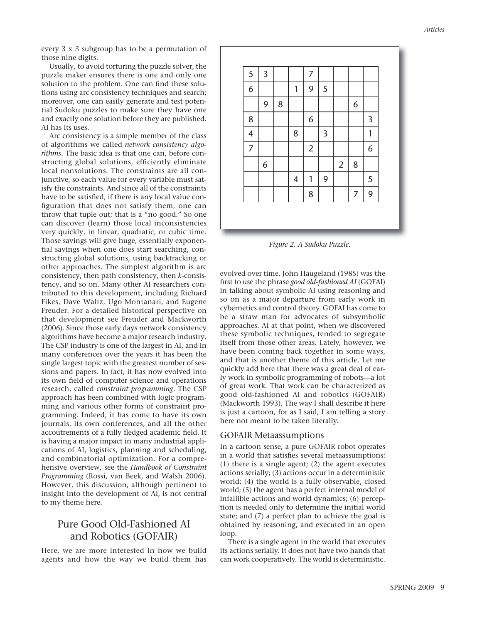every 3 x 3 subgroup has to be a permutation of those nine digits.

Usually, to avoid torturing the puzzle solver, the puzzle maker ensures there is one and only one solution to the problem. One can find these solutions using arc consistency techniques and search; moreover, one can easily generate and test potential Sudoku puzzles to make sure they have one and exactly one solution before they are published. AI has its uses.

Arc consistency is a simple member of the class of algorithms we called *network consistency algorithms.* The basic idea is that one can, before constructing global solutions, efficiently eliminate local nonsolutions. The constraints are all conjunctive, so each value for every variable must satisfy the constraints. And since all of the constraints have to be satisfied, if there is any local value configuration that does not satisfy them, one can throw that tuple out; that is a "no good." So one can discover (learn) those local inconsistencies very quickly, in linear, quadratic, or cubic time. Those savings will give huge, essentially exponential savings when one does start searching, constructing global solutions, using backtracking or other approaches. The simplest algorithm is arc consistency, then path consistency, then *k*-consistency, and so on. Many other AI researchers contributed to this development, including Richard Fikes, Dave Waltz, Ugo Montanari, and Eugene Freuder. For a detailed historical perspective on that development see Freuder and Mackworth (2006). Since those early days network consistency algorithms have become a major research industry. The CSP industry is one of the largest in AI, and in many conferences over the years it has been the single largest topic with the greatest number of sessions and papers. In fact, it has now evolved into its own field of computer science and operations research, called *constraint programming*. The CSP approach has been combined with logic programming and various other forms of constraint programming. Indeed, it has come to have its own journals, its own conferences, and all the other accoutrements of a fully fledged academic field. It is having a major impact in many industrial applications of AI, logistics, planning and scheduling, and combinatorial optimization. For a comprehensive overview, see the *Handbook of Constraint Programming* (Rossi, van Beek, and Walsh 2006). However, this discussion, although pertinent to insight into the development of AI, is not central to my theme here.

# Pure Good Old-Fashioned AI and Robotics (GOFAIR)

Here, we are more interested in how we build agents and how the way we build them has

| 9<br>$\overline{5}$<br>6<br>1<br>9<br>$\,8\,$<br>6<br>6<br>8<br>3<br>8<br>$\overline{3}$<br>1<br>$\overline{4}$<br>$\overline{7}$<br>$\overline{2}$<br>6<br>6<br>$\overline{2}$<br>8<br>5<br>9<br>$\overline{4}$<br>1<br>8<br>9<br>$\overline{z}$ |  |
|---------------------------------------------------------------------------------------------------------------------------------------------------------------------------------------------------------------------------------------------------|--|
|                                                                                                                                                                                                                                                   |  |
|                                                                                                                                                                                                                                                   |  |
|                                                                                                                                                                                                                                                   |  |
|                                                                                                                                                                                                                                                   |  |
|                                                                                                                                                                                                                                                   |  |
|                                                                                                                                                                                                                                                   |  |
|                                                                                                                                                                                                                                                   |  |
|                                                                                                                                                                                                                                                   |  |

*Figure 2. A Sudoku Puzzle.*

evolved over time. John Haugeland (1985) was the first to use the phrase *good old-fashioned AI* (GOFAI) in talking about symbolic AI using reasoning and so on as a major departure from early work in cybernetics and control theory. GOFAI has come to be a straw man for advocates of subsymbolic approaches. AI at that point, when we discovered these symbolic techniques, tended to segregate itself from those other areas. Lately, however, we have been coming back together in some ways, and that is another theme of this article. Let me quickly add here that there was a great deal of early work in symbolic programming of robots—a lot of great work. That work can be characterized as good old-fashioned AI and robotics (GOFAIR) (Mackworth 1993). The way I shall describe it here is just a cartoon, for as I said, I am telling a story here not meant to be taken literally.

#### GOFAIR Metaassumptions

In a cartoon sense, a pure GOFAIR robot operates in a world that satisfies several metaassumptions: (1) there is a single agent; (2) the agent executes actions serially; (3) actions occur in a deterministic world; (4) the world is a fully observable, closed world; (5) the agent has a perfect internal model of infallible actions and world dynamics; (6) perception is needed only to determine the initial world state; and (7) a perfect plan to achieve the goal is obtained by reasoning, and executed in an open loop.

There is a single agent in the world that executes its actions serially. It does not have two hands that can work cooperatively. The world is deterministic.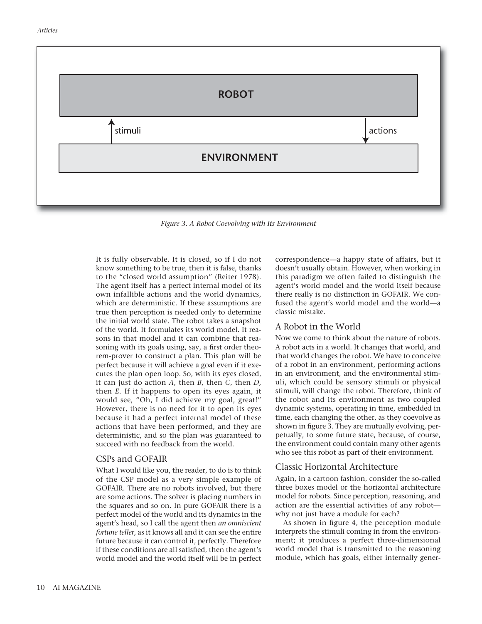

*Figure 3. A Robot Coevolving with Its Environment*

It is fully observable. It is closed, so if I do not know something to be true, then it is false, thanks to the "closed world assumption" (Reiter 1978). The agent itself has a perfect internal model of its own infallible actions and the world dynamics, which are deterministic. If these assumptions are true then perception is needed only to determine the initial world state. The robot takes a snapshot of the world. It formulates its world model. It reasons in that model and it can combine that reasoning with its goals using, say, a first order theorem-prover to construct a plan. This plan will be perfect because it will achieve a goal even if it executes the plan open loop. So, with its eyes closed, it can just do action *A,* then *B,* then *C*, then *D,* then *E.* If it happens to open its eyes again, it would see, "Oh, I did achieve my goal, great!" However, there is no need for it to open its eyes because it had a perfect internal model of these actions that have been performed, and they are deterministic, and so the plan was guaranteed to succeed with no feedback from the world.

### CSPs and GOFAIR

What I would like you, the reader, to do is to think of the CSP model as a very simple example of GOFAIR. There are no robots involved, but there are some actions. The solver is placing numbers in the squares and so on. In pure GOFAIR there is a perfect model of the world and its dynamics in the agent's head, so I call the agent then *an omniscient fortune teller*, as it knows all and it can see the entire future because it can control it, perfectly. Therefore if these conditions are all satisfied, then the agent's world model and the world itself will be in perfect correspondence—a happy state of affairs, but it doesn't usually obtain. However, when working in this paradigm we often failed to distinguish the agent's world model and the world itself because there really is no distinction in GOFAIR. We confused the agent's world model and the world—a classic mistake.

## A Robot in the World

Now we come to think about the nature of robots. A robot acts in a world. It changes that world, and that world changes the robot. We have to conceive of a robot in an environment, performing actions in an environment, and the environmental stimuli, which could be sensory stimuli or physical stimuli, will change the robot. Therefore, think of the robot and its environment as two coupled dynamic systems, operating in time, embedded in time, each changing the other, as they coevolve as shown in figure 3. They are mutually evolving, perpetually, to some future state, because, of course, the environment could contain many other agents who see this robot as part of their environment.

#### Classic Horizontal Architecture

Again, in a cartoon fashion, consider the so-called three boxes model or the horizontal architecture model for robots. Since perception, reasoning, and action are the essential activities of any robot why not just have a module for each?

As shown in figure 4, the perception module interprets the stimuli coming in from the environment; it produces a perfect three-dimensional world model that is transmitted to the reasoning module, which has goals, either internally gener-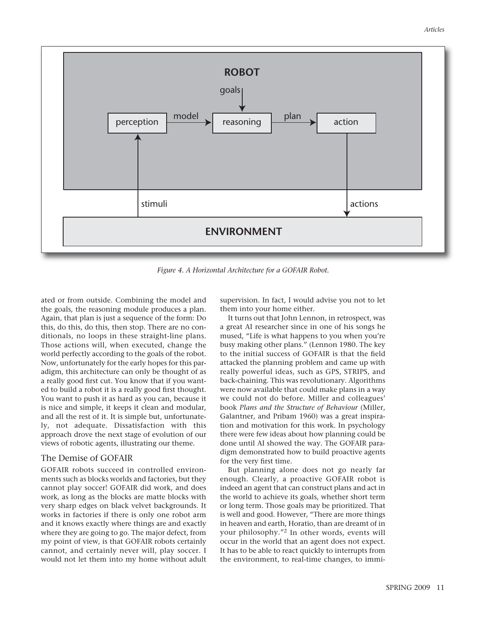

*Figure 4. A Horizontal Architecture for a GOFAIR Robot.*

ated or from outside. Combining the model and the goals, the reasoning module produces a plan. Again, that plan is just a sequence of the form: Do this, do this, do this, then stop. There are no conditionals, no loops in these straight-line plans. Those actions will, when executed, change the world perfectly according to the goals of the robot. Now, unfortunately for the early hopes for this paradigm, this architecture can only be thought of as a really good first cut. You know that if you wanted to build a robot it is a really good first thought. You want to push it as hard as you can, because it is nice and simple, it keeps it clean and modular, and all the rest of it. It is simple but, unfortunately, not adequate. Dissatisfaction with this approach drove the next stage of evolution of our views of robotic agents, illustrating our theme.

#### The Demise of GOFAIR

GOFAIR robots succeed in controlled environments such as blocks worlds and factories, but they cannot play soccer! GOFAIR did work, and does work, as long as the blocks are matte blocks with very sharp edges on black velvet backgrounds. It works in factories if there is only one robot arm and it knows exactly where things are and exactly where they are going to go. The major defect, from my point of view, is that GOFAIR robots certainly cannot, and certainly never will, play soccer. I would not let them into my home without adult

supervision. In fact, I would advise you not to let them into your home either.

It turns out that John Lennon, in retrospect, was a great AI researcher since in one of his songs he mused, "Life is what happens to you when you're busy making other plans." (Lennon 1980. The key to the initial success of GOFAIR is that the field attacked the planning problem and came up with really powerful ideas, such as GPS, STRIPS, and back-chaining. This was revolutionary. Algorithms were now available that could make plans in a way we could not do before. Miller and colleagues' book *Plans and the Structure of Behaviour* (Miller, Galantner, and Pribam 1960) was a great inspiration and motivation for this work. In psychology there were few ideas about how planning could be done until AI showed the way. The GOFAIR paradigm demonstrated how to build proactive agents for the very first time.

But planning alone does not go nearly far enough. Clearly, a proactive GOFAIR robot is indeed an agent that can construct plans and act in the world to achieve its goals, whether short term or long term. Those goals may be prioritized. That is well and good. However, "There are more things in heaven and earth, Horatio, than are dreamt of in your philosophy."2 In other words, events will occur in the world that an agent does not expect. It has to be able to react quickly to interrupts from the environment, to real-time changes, to immi-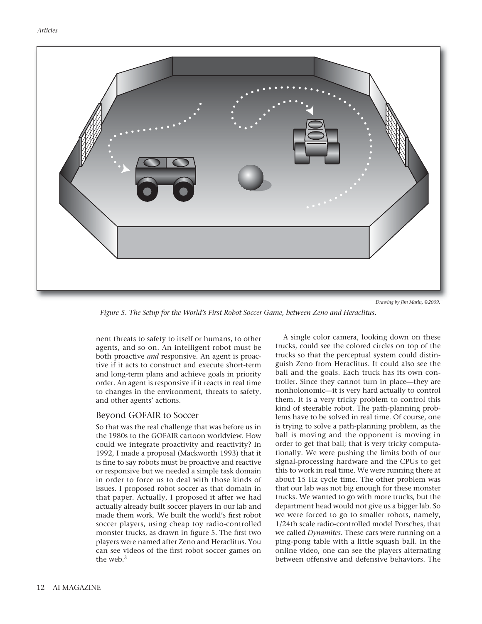

*Drawing by Jim Marin, ©2009.*

*Figure 5. The Setup for the World's First Robot Soccer Game, between Zeno and Heraclitus.*

nent threats to safety to itself or humans, to other agents, and so on. An intelligent robot must be both proactive *and* responsive. An agent is proactive if it acts to construct and execute short-term and long-term plans and achieve goals in priority order. An agent is responsive if it reacts in real time to changes in the environment, threats to safety, and other agents' actions.

#### Beyond GOFAIR to Soccer

So that was the real challenge that was before us in the 1980s to the GOFAIR cartoon worldview. How could we integrate proactivity and reactivity? In 1992, I made a proposal (Mackworth 1993) that it is fine to say robots must be proactive and reactive or responsive but we needed a simple task domain in order to force us to deal with those kinds of issues. I proposed robot soccer as that domain in that paper. Actually, I proposed it after we had actually already built soccer players in our lab and made them work. We built the world's first robot soccer players, using cheap toy radio-controlled monster trucks, as drawn in figure 5. The first two players were named after Zeno and Heraclitus. You can see videos of the first robot soccer games on the web.3

A single color camera, looking down on these trucks, could see the colored circles on top of the trucks so that the perceptual system could distinguish Zeno from Heraclitus. It could also see the ball and the goals. Each truck has its own controller. Since they cannot turn in place—they are nonholonomic—it is very hard actually to control them. It is a very tricky problem to control this kind of steerable robot. The path-planning problems have to be solved in real time. Of course, one is trying to solve a path-planning problem, as the ball is moving and the opponent is moving in order to get that ball; that is very tricky computationally. We were pushing the limits both of our signal-processing hardware and the CPUs to get this to work in real time. We were running there at about 15 Hz cycle time. The other problem was that our lab was not big enough for these monster trucks. We wanted to go with more trucks, but the department head would not give us a bigger lab. So we were forced to go to smaller robots, namely, 1/24th scale radio-controlled model Porsches, that we called *Dynamites.* These cars were running on a ping-pong table with a little squash ball. In the online video, one can see the players alternating between offensive and defensive behaviors. The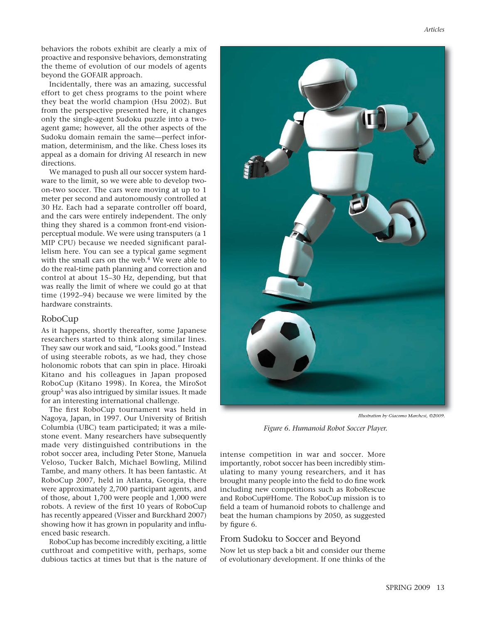behaviors the robots exhibit are clearly a mix of proactive and responsive behaviors, demonstrating the theme of evolution of our models of agents beyond the GOFAIR approach.

Incidentally, there was an amazing, successful effort to get chess programs to the point where they beat the world champion (Hsu 2002). But from the perspective presented here, it changes only the single-agent Sudoku puzzle into a twoagent game; however, all the other aspects of the Sudoku domain remain the same—perfect information, determinism, and the like. Chess loses its appeal as a domain for driving AI research in new directions.

We managed to push all our soccer system hardware to the limit, so we were able to develop twoon-two soccer. The cars were moving at up to 1 meter per second and autonomously controlled at 30 Hz. Each had a separate controller off board, and the cars were entirely independent. The only thing they shared is a common front-end visionperceptual module. We were using transputers (a 1 MIP CPU) because we needed significant parallelism here. You can see a typical game segment with the small cars on the web.<sup>4</sup> We were able to do the real-time path planning and correction and control at about 15–30 Hz, depending, but that was really the limit of where we could go at that time (1992–94) because we were limited by the hardware constraints.

#### RoboCup

As it happens, shortly thereafter, some Japanese researchers started to think along similar lines. They saw our work and said, "Looks good." Instead of using steerable robots, as we had, they chose holonomic robots that can spin in place. Hiroaki Kitano and his colleagues in Japan proposed RoboCup (Kitano 1998). In Korea, the MiroSot group<sup>5</sup> was also intrigued by similar issues. It made for an interesting international challenge.

The first RoboCup tournament was held in Nagoya, Japan, in 1997. Our University of British Columbia (UBC) team participated; it was a milestone event. Many researchers have subsequently made very distinguished contributions in the robot soccer area, including Peter Stone, Manuela Veloso, Tucker Balch, Michael Bowling, Milind Tambe, and many others. It has been fantastic. At RoboCup 2007, held in Atlanta, Georgia, there were approximately 2,700 participant agents, and of those, about 1,700 were people and 1,000 were robots. A review of the first 10 years of RoboCup has recently appeared (Visser and Burckhard 2007) showing how it has grown in popularity and influenced basic research.

RoboCup has become incredibly exciting, a little cutthroat and competitive with, perhaps, some dubious tactics at times but that is the nature of



*Illustration by Giacomo Marchesi, ©2009.*

*Figure 6. Humanoid Robot Soccer Player.*

intense competition in war and soccer. More importantly, robot soccer has been incredibly stimulating to many young researchers, and it has brought many people into the field to do fine work including new competitions such as RoboRescue and RoboCup@Home. The RoboCup mission is to field a team of humanoid robots to challenge and beat the human champions by 2050, as suggested by figure 6.

## From Sudoku to Soccer and Beyond

Now let us step back a bit and consider our theme of evolutionary development. If one thinks of the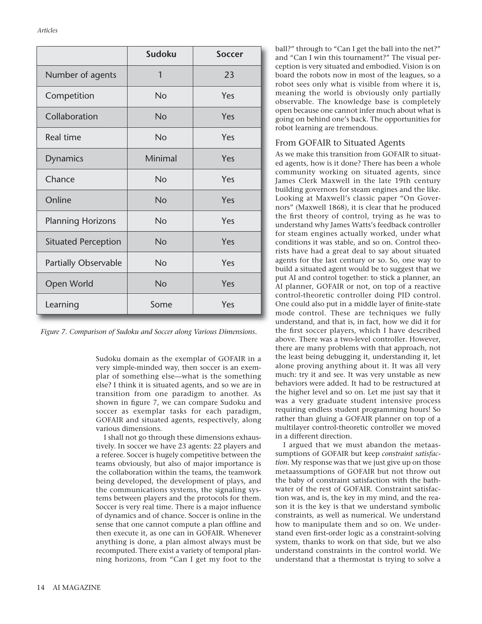|                             | <b>Sudoku</b> | <b>Soccer</b> |
|-----------------------------|---------------|---------------|
| Number of agents            | 1             | 23            |
| Competition                 | No            | Yes           |
| Collaboration               | No            | Yes           |
| Real time                   | No            | Yes           |
| <b>Dynamics</b>             | Minimal       | Yes           |
| Chance                      | <b>No</b>     | Yes           |
| Online                      | No            | Yes           |
| <b>Planning Horizons</b>    | <b>No</b>     | Yes           |
| <b>Situated Perception</b>  | <b>No</b>     | Yes           |
| <b>Partially Observable</b> | <b>No</b>     | Yes           |
| Open World                  | <b>No</b>     | Yes           |
| Learning                    | Some          | Yes           |

*Figure 7. Comparison of Sudoku and Soccer along Various Dimensions.*

Sudoku domain as the exemplar of GOFAIR in a very simple-minded way, then soccer is an exemplar of something else—what is the something else? I think it is situated agents, and so we are in transition from one paradigm to another. As shown in figure 7, we can compare Sudoku and soccer as exemplar tasks for each paradigm, GOFAIR and situated agents, respectively, along various dimensions.

I shall not go through these dimensions exhaustively. In soccer we have 23 agents: 22 players and a referee. Soccer is hugely competitive between the teams obviously, but also of major importance is the collaboration within the teams, the teamwork being developed, the development of plays, and the communications systems, the signaling systems between players and the protocols for them. Soccer is very real time. There is a major influence of dynamics and of chance. Soccer is online in the sense that one cannot compute a plan offline and then execute it, as one can in GOFAIR. Whenever anything is done, a plan almost always must be recomputed. There exist a variety of temporal planning horizons, from "Can I get my foot to the ball?" through to "Can I get the ball into the net?" and "Can I win this tournament?" The visual perception is very situated and embodied. Vision is on board the robots now in most of the leagues, so a robot sees only what is visible from where it is, meaning the world is obviously only partially observable. The knowledge base is completely open because one cannot infer much about what is going on behind one's back. The opportunities for robot learning are tremendous.

#### From GOFAIR to Situated Agents

As we make this transition from GOFAIR to situated agents, how is it done? There has been a whole community working on situated agents, since James Clerk Maxwell in the late 19th century building governors for steam engines and the like. Looking at Maxwell's classic paper "On Governors" (Maxwell 1868), it is clear that he produced the first theory of control, trying as he was to understand why James Watts's feedback controller for steam engines actually worked, under what conditions it was stable, and so on. Control theorists have had a great deal to say about situated agents for the last century or so. So, one way to build a situated agent would be to suggest that we put AI and control together: to stick a planner, an AI planner, GOFAIR or not, on top of a reactive control-theoretic controller doing PID control. One could also put in a middle layer of finite-state mode control. These are techniques we fully understand, and that is, in fact, how we did it for the first soccer players, which I have described above. There was a two-level controller. However, there are many problems with that approach, not the least being debugging it, understanding it, let alone proving anything about it. It was all very much: try it and see. It was very unstable as new behaviors were added. It had to be restructured at the higher level and so on. Let me just say that it was a very graduate student intensive process requiring endless student programming hours! So rather than gluing a GOFAIR planner on top of a multilayer control-theoretic controller we moved in a different direction.

I argued that we must abandon the metaassumptions of GOFAIR but keep *constraint satisfaction.* My response was that we just give up on those metaassumptions of GOFAIR but not throw out the baby of constraint satisfaction with the bathwater of the rest of GOFAIR. Constraint satisfaction was, and is, the key in my mind, and the reason it is the key is that we understand symbolic constraints, as well as numerical. We understand how to manipulate them and so on. We understand even first-order logic as a constraint-solving system, thanks to work on that side, but we also understand constraints in the control world. We understand that a thermostat is trying to solve a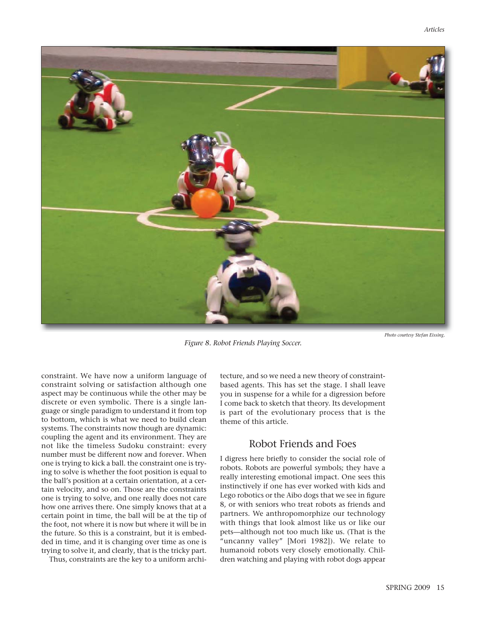

*Figure 8. Robot Friends Playing Soccer.* 

*Photo courtesy Stefan Eissing.*

constraint. We have now a uniform language of constraint solving or satisfaction although one aspect may be continuous while the other may be discrete or even symbolic. There is a single language or single paradigm to understand it from top to bottom, which is what we need to build clean systems. The constraints now though are dynamic: coupling the agent and its environment. They are not like the timeless Sudoku constraint: every number must be different now and forever. When one is trying to kick a ball. the constraint one is trying to solve is whether the foot position is equal to the ball's position at a certain orientation, at a certain velocity, and so on. Those are the constraints one is trying to solve, and one really does not care how one arrives there. One simply knows that at a certain point in time, the ball will be at the tip of the foot, not where it is now but where it will be in the future. So this is a constraint, but it is embedded in time, and it is changing over time as one is trying to solve it, and clearly, that is the tricky part.

Thus, constraints are the key to a uniform archi-

tecture, and so we need a new theory of constraintbased agents. This has set the stage. I shall leave you in suspense for a while for a digression before I come back to sketch that theory. Its development is part of the evolutionary process that is the theme of this article.

# Robot Friends and Foes

I digress here briefly to consider the social role of robots. Robots are powerful symbols; they have a really interesting emotional impact. One sees this instinctively if one has ever worked with kids and Lego robotics or the Aibo dogs that we see in figure 8, or with seniors who treat robots as friends and partners. We anthropomorphize our technology with things that look almost like us or like our pets—although not too much like us. (That is the "uncanny valley" [Mori 1982]). We relate to humanoid robots very closely emotionally. Children watching and playing with robot dogs appear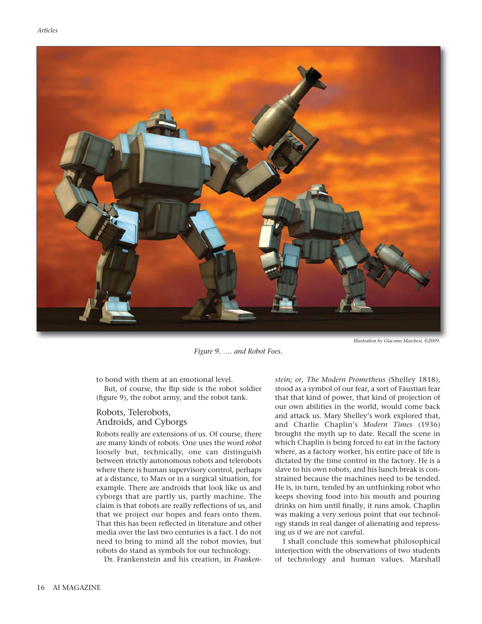

*Figure 9. … and Robot Foes.*

to bond with them at an emotional level.

But, of course, the flip side is the robot soldier (figure 9), the robot army, and the robot tank.

# Robots, Telerobots, Androids, and Cyborgs

Robots really are extensions of us. Of course, there are many kinds of robots. One uses the word *robot* loosely but, technically, one can distinguish between strictly autonomous robots and telerobots where there is human supervisory control, perhaps at a distance, to Mars or in a surgical situation, for example. There are androids that look like us and cyborgs that are partly us, partly machine. The claim is that robots are really reflections of us, and that we project our hopes and fears onto them. That this has been reflected in literature and other media over the last two centuries is a fact. I do not need to bring to mind all the robot movies, but robots do stand as symbols for our technology.

Dr. Frankenstein and his creation, in *Franken-*

*stein; or, The Modern Prometheus* (Shelley 1818), stood as a symbol of our fear, a sort of Faustian fear that that kind of power, that kind of projection of our own abilities in the world, would come back and attack us. Mary Shelley's work explored that, and Charlie Chaplin's *Modern Times* (1936) brought the myth up to date. Recall the scene in which Chaplin is being forced to eat in the factory where, as a factory worker, his entire pace of life is dictated by the time control in the factory. He is a slave to his own robots, and his lunch break is constrained because the machines need to be tended. He is, in turn, tended by an unthinking robot who keeps shoving food into his mouth and pouring drinks on him until finally, it runs amok. Chaplin was making a very serious point that our technology stands in real danger of alienating and repressing us if we are not careful.

I shall conclude this somewhat philosophical interjection with the observations of two students of technology and human values. Marshall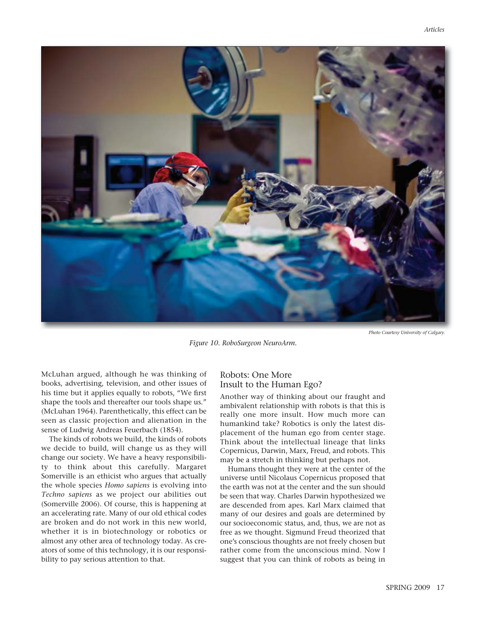

*Photo Courtesy University of Calgary.*

*Figure 10. RoboSurgeon NeuroArm.* 

McLuhan argued, although he was thinking of books, advertising, television, and other issues of his time but it applies equally to robots, "We first shape the tools and thereafter our tools shape us." (McLuhan 1964)*.* Parenthetically, this effect can be seen as classic projection and alienation in the sense of Ludwig Andreas Feuerbach (1854).

The kinds of robots we build, the kinds of robots we decide to build, will change us as they will change our society. We have a heavy responsibility to think about this carefully. Margaret Somerville is an ethicist who argues that actually the whole species *Homo sapiens* is evolving into *Techno sapiens* as we project our abilities out (Somerville 2006). Of course, this is happening at an accelerating rate. Many of our old ethical codes are broken and do not work in this new world, whether it is in biotechnology or robotics or almost any other area of technology today. As creators of some of this technology, it is our responsibility to pay serious attention to that.

## Robots: One More Insult to the Human Ego?

Another way of thinking about our fraught and ambivalent relationship with robots is that this is really one more insult. How much more can humankind take? Robotics is only the latest displacement of the human ego from center stage. Think about the intellectual lineage that links Copernicus, Darwin, Marx, Freud, and robots. This may be a stretch in thinking but perhaps not.

Humans thought they were at the center of the universe until Nicolaus Copernicus proposed that the earth was not at the center and the sun should be seen that way. Charles Darwin hypothesized we are descended from apes. Karl Marx claimed that many of our desires and goals are determined by our socioeconomic status, and, thus, we are not as free as we thought. Sigmund Freud theorized that one's conscious thoughts are not freely chosen but rather come from the unconscious mind. Now I suggest that you can think of robots as being in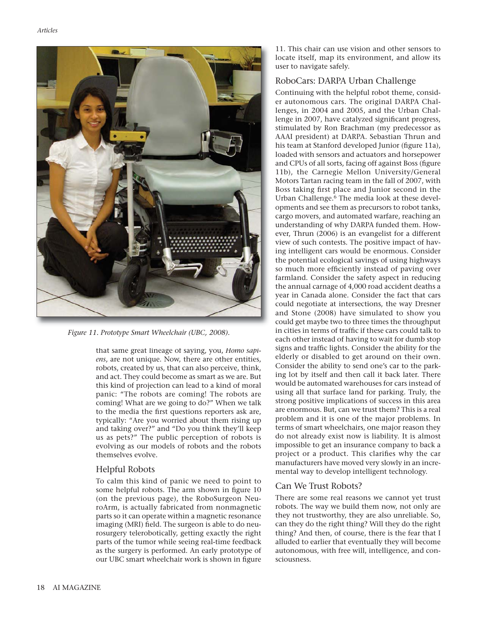

*Figure 11. Prototype Smart Wheelchair (UBC, 2008).*

that same great lineage of saying, you, *Homo sapiens*, are not unique. Now, there are other entities, robots, created by us, that can also perceive, think, and act. They could become as smart as we are. But this kind of projection can lead to a kind of moral panic: "The robots are coming! The robots are coming! What are we going to do?" When we talk to the media the first questions reporters ask are, typically: "Are you worried about them rising up and taking over?" and "Do you think they'll keep us as pets?" The public perception of robots is evolving as our models of robots and the robots themselves evolve.

## Helpful Robots

To calm this kind of panic we need to point to some helpful robots. The arm shown in figure 10 (on the previous page), the RoboSurgeon NeuroArm, is actually fabricated from nonmagnetic parts so it can operate within a magnetic resonance imaging (MRI) field. The surgeon is able to do neurosurgery telerobotically, getting exactly the right parts of the tumor while seeing real-time feedback as the surgery is performed. An early prototype of our UBC smart wheelchair work is shown in figure

11. This chair can use vision and other sensors to locate itself, map its environment, and allow its user to navigate safely.

# RoboCars: DARPA Urban Challenge

Continuing with the helpful robot theme, consider autonomous cars. The original DARPA Challenges, in 2004 and 2005, and the Urban Challenge in 2007, have catalyzed significant progress, stimulated by Ron Brachman (my predecessor as AAAI president) at DARPA. Sebastian Thrun and his team at Stanford developed Junior (figure 11a), loaded with sensors and actuators and horsepower and CPUs of all sorts, facing off against Boss (figure 11b), the Carnegie Mellon University/General Motors Tartan racing team in the fall of 2007, with Boss taking first place and Junior second in the Urban Challenge.<sup>6</sup> The media look at these developments and see them as precursors to robot tanks, cargo movers, and automated warfare, reaching an understanding of why DARPA funded them. However, Thrun (2006) is an evangelist for a different view of such contests. The positive impact of having intelligent cars would be enormous. Consider the potential ecological savings of using highways so much more efficiently instead of paving over farmland. Consider the safety aspect in reducing the annual carnage of 4,000 road accident deaths a year in Canada alone. Consider the fact that cars could negotiate at intersections, the way Dresner and Stone (2008) have simulated to show you could get maybe two to three times the throughput in cities in terms of traffic if these cars could talk to each other instead of having to wait for dumb stop signs and traffic lights. Consider the ability for the elderly or disabled to get around on their own. Consider the ability to send one's car to the parking lot by itself and then call it back later. There would be automated warehouses for cars instead of using all that surface land for parking. Truly, the strong positive implications of success in this area are enormous. But, can we trust them? This is a real problem and it is one of the major problems. In terms of smart wheelchairs, one major reason they do not already exist now is liability. It is almost impossible to get an insurance company to back a project or a product. This clarifies why the car manufacturers have moved very slowly in an incremental way to develop intelligent technology.

## Can We Trust Robots?

There are some real reasons we cannot yet trust robots. The way we build them now, not only are they not trustworthy, they are also unreliable. So, can they do the right thing? Will they do the right thing? And then, of course, there is the fear that I alluded to earlier that eventually they will become autonomous, with free will, intelligence, and consciousness.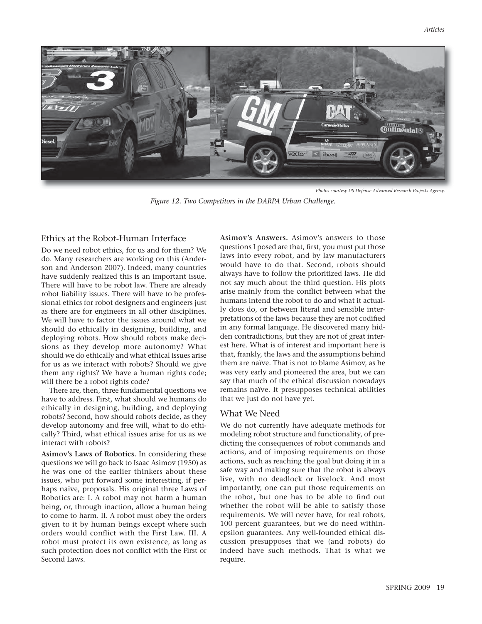

*Photos courtesy US Defense Advanced Research Projects Agency.*

*Figure 12. Two Competitors in the DARPA Urban Challenge.* 

## Ethics at the Robot-Human Interface

Do we need robot ethics, for us and for them? We do. Many researchers are working on this (Anderson and Anderson 2007). Indeed, many countries have suddenly realized this is an important issue. There will have to be robot law. There are already robot liability issues. There will have to be professional ethics for robot designers and engineers just as there are for engineers in all other disciplines. We will have to factor the issues around what we should do ethically in designing, building, and deploying robots. How should robots make decisions as they develop more autonomy? What should we do ethically and what ethical issues arise for us as we interact with robots? Should we give them any rights? We have a human rights code; will there be a robot rights code?

There are, then, three fundamental questions we have to address. First, what should we humans do ethically in designing, building, and deploying robots? Second, how should robots decide, as they develop autonomy and free will, what to do ethically? Third, what ethical issues arise for us as we interact with robots?

**Asimov's Laws of Robotics.** In considering these questions we will go back to Isaac Asimov (1950) as he was one of the earlier thinkers about these issues, who put forward some interesting, if perhaps naïve, proposals. His original three Laws of Robotics are: I. A robot may not harm a human being, or, through inaction, allow a human being to come to harm. II. A robot must obey the orders given to it by human beings except where such orders would conflict with the First Law. III. A robot must protect its own existence, as long as such protection does not conflict with the First or Second Laws.

**Asimov's Answers.** Asimov's answers to those questions I posed are that, first, you must put those laws into every robot, and by law manufacturers would have to do that. Second, robots should always have to follow the prioritized laws. He did not say much about the third question. His plots arise mainly from the conflict between what the humans intend the robot to do and what it actually does do, or between literal and sensible interpretations of the laws because they are not codified in any formal language. He discovered many hidden contradictions, but they are not of great interest here. What is of interest and important here is that, frankly, the laws and the assumptions behind them are naïve. That is not to blame Asimov, as he was very early and pioneered the area, but we can say that much of the ethical discussion nowadays remains naïve. It presupposes technical abilities that we just do not have yet.

#### What We Need

We do not currently have adequate methods for modeling robot structure and functionality, of predicting the consequences of robot commands and actions, and of imposing requirements on those actions, such as reaching the goal but doing it in a safe way and making sure that the robot is always live, with no deadlock or livelock. And most importantly, one can put those requirements on the robot, but one has to be able to find out whether the robot will be able to satisfy those requirements. We will never have, for real robots, 100 percent guarantees, but we do need withinepsilon guarantees. Any well-founded ethical discussion presupposes that we (and robots) do indeed have such methods. That is what we require.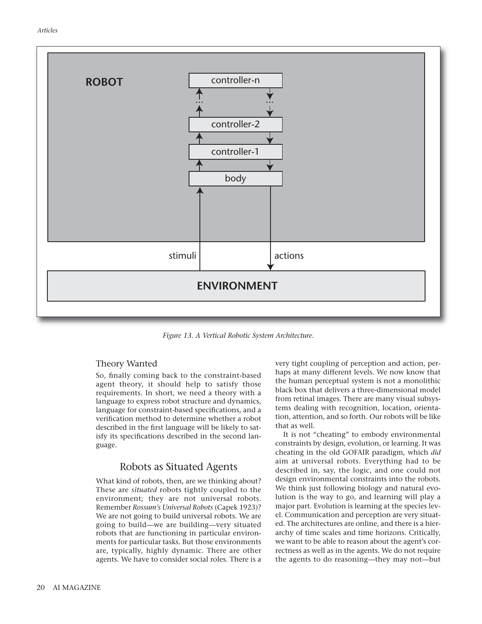

*Figure 13. A Vertical Robotic System Architecture.*

#### Theory Wanted

So, finally coming back to the constraint-based agent theory, it should help to satisfy those requirements. In short, we need a theory with a language to express robot structure and dynamics, language for constraint-based specifications, and a verification method to determine whether a robot described in the first language will be likely to satisfy its specifications described in the second language.

# Robots as Situated Agents

What kind of robots, then, are we thinking about? These are *situated* robots tightly coupled to the environment; they are not universal robots. Remember *Rossum's Universal Robots* (Capek 1923)? We are not going to build universal robots. We are going to build—we are building—very situated robots that are functioning in particular environments for particular tasks. But those environments are, typically, highly dynamic. There are other agents. We have to consider social roles. There is a

very tight coupling of perception and action, perhaps at many different levels. We now know that the human perceptual system is not a monolithic black box that delivers a three-dimensional model from retinal images. There are many visual subsystems dealing with recognition, location, orientation, attention, and so forth. Our robots will be like that as well.

It is not "cheating" to embody environmental constraints by design, evolution, or learning. It was cheating in the old GOFAIR paradigm, which *did* aim at universal robots. Everything had to be described in, say, the logic, and one could not design environmental constraints into the robots. We think just following biology and natural evolution is the way to go, and learning will play a major part. Evolution is learning at the species level. Communication and perception are very situated. The architectures are online, and there is a hierarchy of time scales and time horizons. Critically, we want to be able to reason about the agent's correctness as well as in the agents. We do not require the agents to do reasoning—they may not—but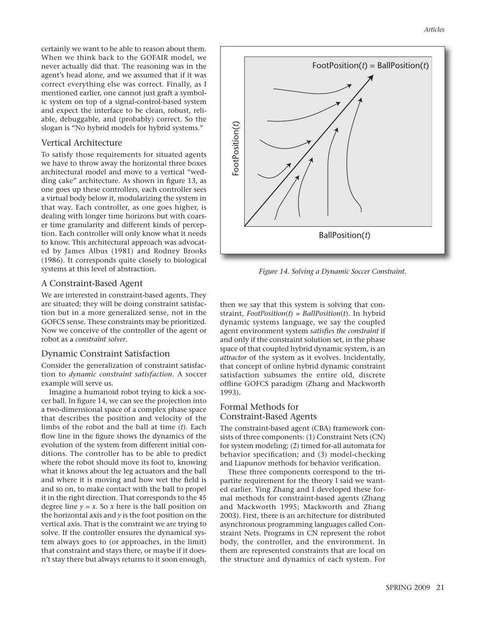certainly we want to be able to reason about them. When we think back to the GOFAIR model, we never actually did that. The reasoning was in the agent's head alone, and we assumed that if it was correct everything else was correct. Finally, as I mentioned earlier, one cannot just graft a symbolic system on top of a signal-control-based system and expect the interface to be clean, robust, reliable, debuggable, and (probably) correct. So the slogan is "No hybrid models for hybrid systems."

#### Vertical Architecture

To satisfy those requirements for situated agents we have to throw away the horizontal three boxes architectural model and move to a vertical "wedding cake" architecture. As shown in figure 13, as one goes up these controllers, each controller sees a virtual body below it, modularizing the system in that way. Each controller, as one goes higher, is dealing with longer time horizons but with coarser time granularity and different kinds of perception. Each controller will only know what it needs to know. This architectural approach was advocated by James Albus (1981) and Rodney Brooks (1986). It corresponds quite closely to biological systems at this level of abstraction.

#### A Constraint-Based Agent

We are interested in constraint-based agents. They are situated; they will be doing constraint satisfaction but in a more generalized sense, not in the GOFCS sense. These constraints may be prioritized. Now we conceive of the controller of the agent or robot as a *constraint solver*.

#### Dynamic Constraint Satisfaction

Consider the generalization of constraint satisfaction to *dynamic constraint satisfaction*. A soccer example will serve us.

Imagine a humanoid robot trying to kick a soccer ball. In figure 14, we can see the projection into a two-dimensional space of a complex phase space that describes the position and velocity of the limbs of the robot and the ball at time (*t*). Each flow line in the figure shows the dynamics of the evolution of the system from different initial conditions. The controller has to be able to predict where the robot should move its foot to, knowing what it knows about the leg actuators and the ball and where it is moving and how wet the field is and so on, to make contact with the ball to propel it in the right direction. That corresponds to the 45 degree line  $y = x$ . So x here is the ball position on the horizontal axis and *y* is the foot position on the vertical axis. That is the constraint we are trying to solve. If the controller ensures the dynamical system always goes to (or approaches, in the limit) that constraint and stays there, or maybe if it doesn't stay there but always returns to it soon enough,



*Figure 14. Solving a Dynamic Soccer Constraint.*

then we say that this system is solving that constraint, *FootPosition*(*t*) = *BallPosition*(*t*). In hybrid dynamic systems language, we say the coupled agent environment system *satisfies the constraint* if and only if the constraint solution set, in the phase space of that coupled hybrid dynamic system, is an *attractor* of the system as it evolves. Incidentally, that concept of online hybrid dynamic constraint satisfaction subsumes the entire old, discrete offline GOFCS paradigm (Zhang and Mackworth 1993).

# Formal Methods for Constraint-Based Agents

The constraint-based agent (CBA) framework consists of three components: (1) Constraint Nets (CN) for system modeling; (2) timed for-all automata for behavior specification; and (3) model-checking and Liapunov methods for behavior verification.

These three components correspond to the tripartite requirement for the theory I said we wanted earlier. Ying Zhang and I developed these formal methods for constraint-based agents (Zhang and Mackworth 1995; Mackworth and Zhang 2003). First, there is an architecture for distributed asynchronous programming languages called Constraint Nets. Programs in CN represent the robot body, the controller, and the environment. In them are represented constraints that are local on the structure and dynamics of each system. For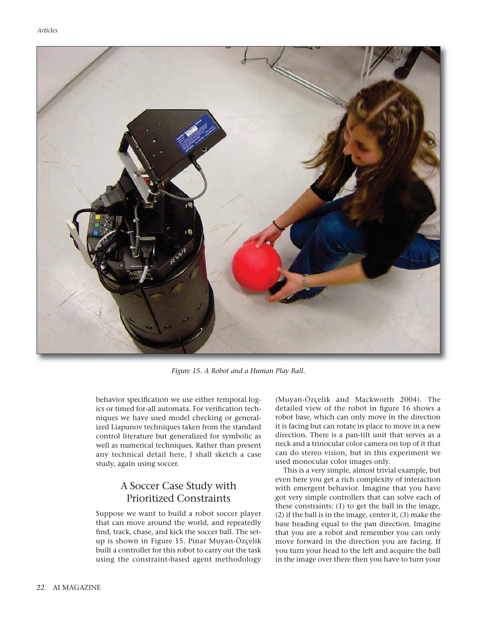

*Figure 15. A Robot and a Human Play Ball.*

behavior specification we use either temporal logics or timed for-all automata. For verification techniques we have used model checking or generalized Liapunov techniques taken from the standard control literature but generalized for symbolic as well as numerical techniques. Rather than present any technical detail here, I shall sketch a case study, again using soccer.

# A Soccer Case Study with Prioritized Constraints

Suppose we want to build a robot soccer player that can move around the world, and repeatedly find, track, chase, and kick the soccer ball. The setup is shown in Figure 15. Pinar Muyan-Özçelik built a controller for this robot to carry out the task using the constraint-based agent methodology

(Muyan-Özçelik and Mackworth 2004). The detailed view of the robot in figure 16 shows a robot base, which can only move in the direction it is facing but can rotate in place to move in a new direction. There is a pan-tilt unit that serves as a neck and a trinocular color camera on top of it that can do stereo vision, but in this experiment we used monocular color images only.

This is a very simple, almost trivial example, but even here you get a rich complexity of interaction with emergent behavior. Imagine that you have got very simple controllers that can solve each of these constraints: (1) to get the ball in the image, (2) if the ball is in the image, center it, (3) make the base heading equal to the pan direction. Imagine that you are a robot and remember you can only move forward in the direction you are facing. If you turn your head to the left and acquire the ball in the image over there then you have to turn your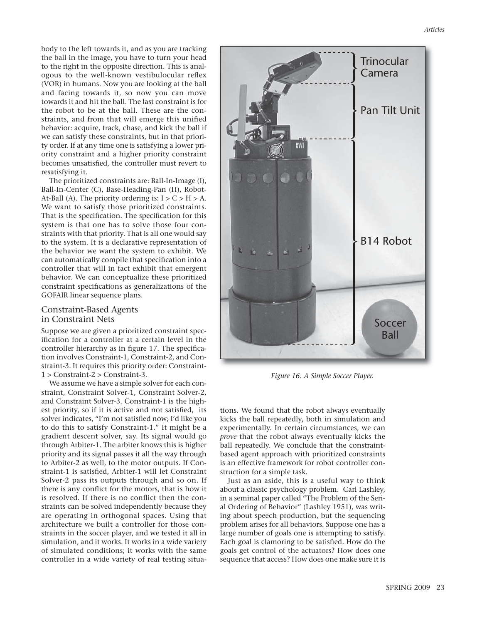body to the left towards it, and as you are tracking the ball in the image, you have to turn your head to the right in the opposite direction. This is analogous to the well-known vestibulocular reflex (VOR) in humans. Now you are looking at the ball and facing towards it, so now you can move towards it and hit the ball. The last constraint is for the robot to be at the ball. These are the constraints, and from that will emerge this unified behavior: acquire, track, chase, and kick the ball if we can satisfy these constraints, but in that priority order. If at any time one is satisfying a lower priority constraint and a higher priority constraint becomes unsatisfied, the controller must revert to resatisfying it.

The prioritized constraints are: Ball-In-Image (I), Ball-In-Center (C), Base-Heading-Pan (H), Robot-At-Ball (A). The priority ordering is:  $I > C > H > A$ . We want to satisfy those prioritized constraints. That is the specification. The specification for this system is that one has to solve those four constraints with that priority. That is all one would say to the system. It is a declarative representation of the behavior we want the system to exhibit. We can automatically compile that specification into a controller that will in fact exhibit that emergent behavior. We can conceptualize these prioritized constraint specifications as generalizations of the GOFAIR linear sequence plans.

#### Constraint-Based Agents in Constraint Nets

Suppose we are given a prioritized constraint specification for a controller at a certain level in the controller hierarchy as in figure 17. The specification involves Constraint-1, Constraint-2, and Constraint-3. It requires this priority order: Constraint-1 > Constraint-2 > Constraint-3.

We assume we have a simple solver for each constraint, Constraint Solver-1, Constraint Solver-2, and Constraint Solver-3. Constraint-1 is the highest priority, so if it is active and not satisfied, its solver indicates, "I'm not satisfied now; I'd like you to do this to satisfy Constraint-1." It might be a gradient descent solver, say. Its signal would go through Arbiter-1. The arbiter knows this is higher priority and its signal passes it all the way through to Arbiter-2 as well, to the motor outputs. If Constraint-1 is satisfied, Arbiter-1 will let Constraint Solver-2 pass its outputs through and so on. If there is any conflict for the motors, that is how it is resolved. If there is no conflict then the constraints can be solved independently because they are operating in orthogonal spaces. Using that architecture we built a controller for those constraints in the soccer player, and we tested it all in simulation, and it works. It works in a wide variety of simulated conditions; it works with the same controller in a wide variety of real testing situa-



*Figure 16. A Simple Soccer Player.*

tions. We found that the robot always eventually kicks the ball repeatedly, both in simulation and experimentally. In certain circumstances, we can *prove* that the robot always eventually kicks the ball repeatedly. We conclude that the constraintbased agent approach with prioritized constraints is an effective framework for robot controller construction for a simple task.

Just as an aside, this is a useful way to think about a classic psychology problem. Carl Lashley, in a seminal paper called "The Problem of the Serial Ordering of Behavior" (Lashley 1951), was writing about speech production, but the sequencing problem arises for all behaviors. Suppose one has a large number of goals one is attempting to satisfy. Each goal is clamoring to be satisfied. How do the goals get control of the actuators? How does one sequence that access? How does one make sure it is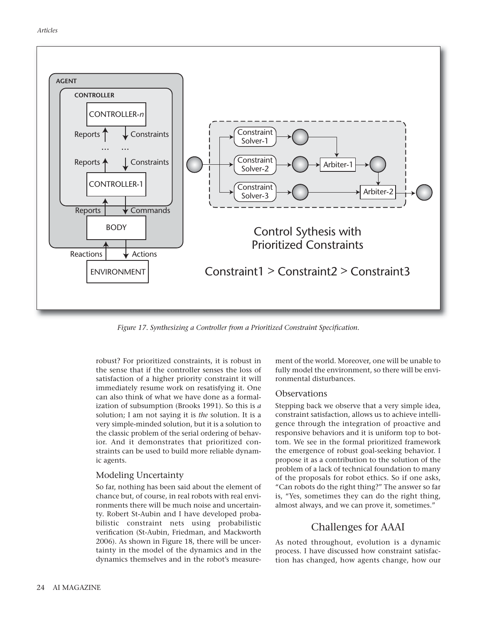

*Figure 17. Synthesizing a Controller from a Prioritized Constraint Specification.*

robust? For prioritized constraints, it is robust in the sense that if the controller senses the loss of satisfaction of a higher priority constraint it will immediately resume work on resatisfying it. One can also think of what we have done as a formalization of subsumption (Brooks 1991). So this is *a* solution; I am not saying it is *the* solution. It is a very simple-minded solution, but it is a solution to the classic problem of the serial ordering of behavior. And it demonstrates that prioritized constraints can be used to build more reliable dynamic agents.

#### Modeling Uncertainty

So far, nothing has been said about the element of chance but, of course, in real robots with real environments there will be much noise and uncertainty. Robert St-Aubin and I have developed probabilistic constraint nets using probabilistic verification (St-Aubin, Friedman, and Mackworth 2006). As shown in Figure 18, there will be uncertainty in the model of the dynamics and in the dynamics themselves and in the robot's measure-

ment of the world. Moreover, one will be unable to fully model the environment, so there will be environmental disturbances.

#### **Observations**

Stepping back we observe that a very simple idea, constraint satisfaction, allows us to achieve intelligence through the integration of proactive and responsive behaviors and it is uniform top to bottom. We see in the formal prioritized framework the emergence of robust goal-seeking behavior. I propose it as a contribution to the solution of the problem of a lack of technical foundation to many of the proposals for robot ethics. So if one asks, "Can robots do the right thing?" The answer so far is, "Yes, sometimes they can do the right thing, almost always, and we can prove it, sometimes."

# Challenges for AAAI

As noted throughout, evolution is a dynamic process. I have discussed how constraint satisfaction has changed, how agents change, how our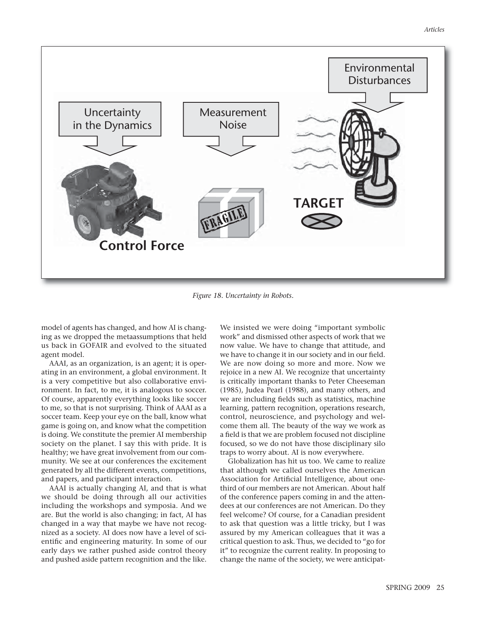

*Figure 18. Uncertainty in Robots.*

model of agents has changed, and how AI is changing as we dropped the metaassumptions that held us back in GOFAIR and evolved to the situated agent model.

AAAI, as an organization, is an agent; it is operating in an environment, a global environment. It is a very competitive but also collaborative environment. In fact, to me, it is analogous to soccer. Of course, apparently everything looks like soccer to me, so that is not surprising. Think of AAAI as a soccer team. Keep your eye on the ball, know what game is going on, and know what the competition is doing. We constitute the premier AI membership society on the planet. I say this with pride. It is healthy; we have great involvement from our community. We see at our conferences the excitement generated by all the different events, competitions, and papers, and participant interaction.

AAAI is actually changing AI, and that is what we should be doing through all our activities including the workshops and symposia. And we are. But the world is also changing; in fact, AI has changed in a way that maybe we have not recognized as a society. AI does now have a level of scientific and engineering maturity. In some of our early days we rather pushed aside control theory and pushed aside pattern recognition and the like.

We insisted we were doing "important symbolic work" and dismissed other aspects of work that we now value. We have to change that attitude, and we have to change it in our society and in our field. We are now doing so more and more. Now we rejoice in a new AI. We recognize that uncertainty is critically important thanks to Peter Cheeseman (1985), Judea Pearl (1988), and many others, and we are including fields such as statistics, machine learning, pattern recognition, operations research, control, neuroscience, and psychology and welcome them all. The beauty of the way we work as a field is that we are problem focused not discipline focused, so we do not have those disciplinary silo traps to worry about. AI is now everywhere.

Globalization has hit us too. We came to realize that although we called ourselves the American Association for Artificial Intelligence, about onethird of our members are not American. About half of the conference papers coming in and the attendees at our conferences are not American. Do they feel welcome? Of course, for a Canadian president to ask that question was a little tricky, but I was assured by my American colleagues that it was a critical question to ask. Thus, we decided to "go for it" to recognize the current reality. In proposing to change the name of the society, we were anticipat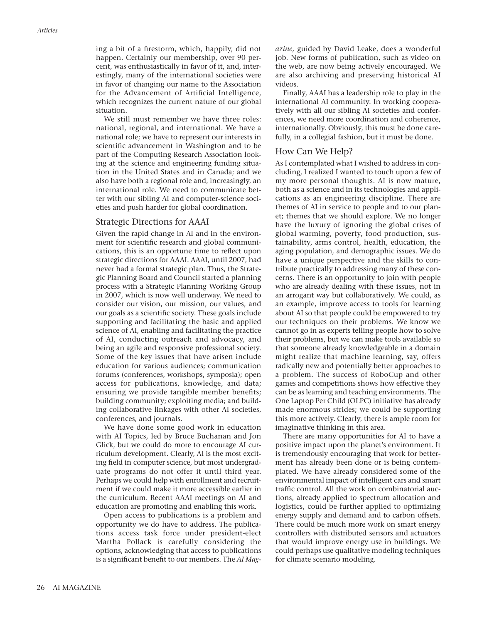ing a bit of a firestorm, which, happily, did not happen. Certainly our membership, over 90 percent, was enthusiastically in favor of it, and, interestingly, many of the international societies were in favor of changing our name to the Association for the Advancement of Artificial Intelligence, which recognizes the current nature of our global situation.

We still must remember we have three roles: national, regional, and international. We have a national role; we have to represent our interests in scientific advancement in Washington and to be part of the Computing Research Association looking at the science and engineering funding situation in the United States and in Canada; and we also have both a regional role and, increasingly, an international role. We need to communicate better with our sibling AI and computer-science societies and push harder for global coordination.

#### Strategic Directions for AAAI

Given the rapid change in AI and in the environment for scientific research and global communications, this is an opportune time to reflect upon strategic directions for AAAI. AAAI, until 2007, had never had a formal strategic plan. Thus, the Strategic Planning Board and Council started a planning process with a Strategic Planning Working Group in 2007, which is now well underway. We need to consider our vision, our mission, our values, and our goals as a scientific society. These goals include supporting and facilitating the basic and applied science of AI, enabling and facilitating the practice of AI, conducting outreach and advocacy, and being an agile and responsive professional society. Some of the key issues that have arisen include education for various audiences; communication forums (conferences, workshops, symposia); open access for publications, knowledge, and data; ensuring we provide tangible member benefits; building community; exploiting media; and building collaborative linkages with other AI societies, conferences, and journals.

We have done some good work in education with AI Topics, led by Bruce Buchanan and Jon Glick, but we could do more to encourage AI curriculum development. Clearly, AI is the most exciting field in computer science, but most undergraduate programs do not offer it until third year. Perhaps we could help with enrollment and recruitment if we could make it more accessible earlier in the curriculum. Recent AAAI meetings on AI and education are promoting and enabling this work.

Open access to publications is a problem and opportunity we do have to address. The publications access task force under president-elect Martha Pollack is carefully considering the options, acknowledging that access to publications is a significant benefit to our members. The *AI Mag-*

*azine,* guided by David Leake, does a wonderful job. New forms of publication, such as video on the web, are now being actively encouraged. We are also archiving and preserving historical AI videos.

Finally, AAAI has a leadership role to play in the international AI community. In working cooperatively with all our sibling AI societies and conferences, we need more coordination and coherence, internationally. Obviously, this must be done carefully, in a collegial fashion, but it must be done.

#### How Can We Help?

As I contemplated what I wished to address in concluding, I realized I wanted to touch upon a few of my more personal thoughts. AI is now mature, both as a science and in its technologies and applications as an engineering discipline. There are themes of AI in service to people and to our planet; themes that we should explore. We no longer have the luxury of ignoring the global crises of global warming, poverty, food production, sustainability, arms control, health, education, the aging population, and demographic issues. We do have a unique perspective and the skills to contribute practically to addressing many of these concerns. There is an opportunity to join with people who are already dealing with these issues, not in an arrogant way but collaboratively. We could, as an example, improve access to tools for learning about AI so that people could be empowered to try our techniques on their problems. We know we cannot go in as experts telling people how to solve their problems, but we can make tools available so that someone already knowledgeable in a domain might realize that machine learning, say, offers radically new and potentially better approaches to a problem. The success of RoboCup and other games and competitions shows how effective they can be as learning and teaching environments. The One Laptop Per Child (OLPC) initiative has already made enormous strides; we could be supporting this more actively. Clearly, there is ample room for imaginative thinking in this area.

There are many opportunities for AI to have a positive impact upon the planet's environment. It is tremendously encouraging that work for betterment has already been done or is being contemplated. We have already considered some of the environmental impact of intelligent cars and smart traffic control. All the work on combinatorial auctions, already applied to spectrum allocation and logistics, could be further applied to optimizing energy supply and demand and to carbon offsets. There could be much more work on smart energy controllers with distributed sensors and actuators that would improve energy use in buildings. We could perhaps use qualitative modeling techniques for climate scenario modeling.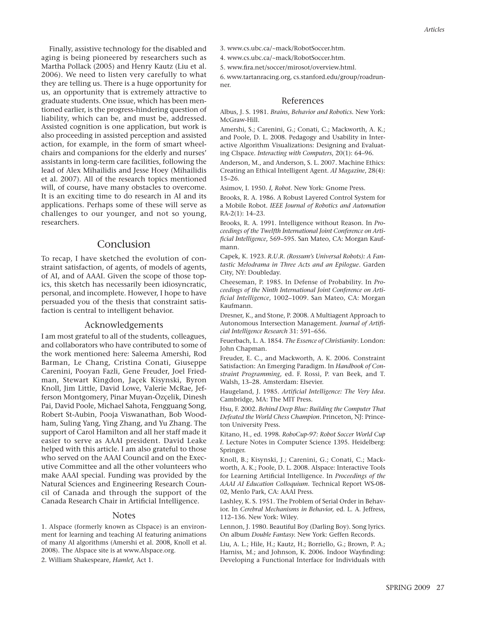Finally, assistive technology for the disabled and aging is being pioneered by researchers such as Martha Pollack (2005) and Henry Kautz (Liu et al. 2006). We need to listen very carefully to what they are telling us. There is a huge opportunity for us, an opportunity that is extremely attractive to graduate students. One issue, which has been mentioned earlier, is the progress-hindering question of liability, which can be, and must be, addressed. Assisted cognition is one application, but work is also proceeding in assisted perception and assisted action, for example, in the form of smart wheelchairs and companions for the elderly and nurses' assistants in long-term care facilities, following the lead of Alex Mihailidis and Jesse Hoey (Mihailidis et al. 2007). All of the research topics mentioned will, of course, have many obstacles to overcome. It is an exciting time to do research in AI and its applications. Perhaps some of these will serve as challenges to our younger, and not so young, researchers.

# Conclusion

To recap, I have sketched the evolution of constraint satisfaction, of agents, of models of agents, of AI, and of AAAI. Given the scope of those topics, this sketch has necessarily been idiosyncratic, personal, and incomplete. However, I hope to have persuaded you of the thesis that constraint satisfaction is central to intelligent behavior.

#### Acknowledgements

I am most grateful to all of the students, colleagues, and collaborators who have contributed to some of the work mentioned here: Saleema Amershi, Rod Barman, Le Chang, Cristina Conati, Giuseppe Carenini, Pooyan Fazli, Gene Freuder, Joel Friedman, Stewart Kingdon, Jaçek Kisynski, Byron Knoll, Jim Little, David Lowe, Valerie McRae, Jefferson Montgomery, Pinar Muyan-Özçelik, Dinesh Pai, David Poole, Michael Sahota, Fengguang Song, Robert St-Aubin, Pooja Viswanathan, Bob Woodham, Suling Yang, Ying Zhang, and Yu Zhang. The support of Carol Hamilton and all her staff made it easier to serve as AAAI president. David Leake helped with this article. I am also grateful to those who served on the AAAI Council and on the Executive Committee and all the other volunteers who make AAAI special. Funding was provided by the Natural Sciences and Engineering Research Council of Canada and through the support of the Canada Research Chair in Artificial Intelligence.

#### Notes

1. AIspace (formerly known as CIspace) is an environment for learning and teaching AI featuring animations of many AI algorithms (Amershi et al. 2008, Knoll et al. 2008). The AIspace site is at www.AIspace.org.

2. William Shakespeare, *Hamlet,* Act 1.

3. www.cs.ubc.ca/~mack/RobotSoccer.htm.

4. www.cs.ubc.ca/~mack/RobotSoccer.htm.

5. www.fira.net/soccer/mirosot/overview.html.

6. www.tartanracing.org, cs.stanford.edu/group/roadrunner.

#### References

Albus, J. S. 1981. *Brains, Behavior and Robotics.* New York: McGraw-Hill.

Amershi, S.; Carenini, G.; Conati, C.; Mackworth, A. K.; and Poole, D. L. 2008. Pedagogy and Usability in Interactive Algorithm Visualizations: Designing and Evaluating CIspace. *Interacting with Computers*, 20(1): 64–96.

Anderson, M., and Anderson, S. L. 2007. Machine Ethics: Creating an Ethical Intelligent Agent. *AI Magazine*, 28(4): 15–26.

Asimov, I. 1950. *I, Robot*. New York: Gnome Press.

Brooks, R. A. 1986. A Robust Layered Control System for a Mobile Robot. *IEEE Journal of Robotics and Automation* RA-2(1): 14–23.

Brooks, R. A. 1991. Intelligence without Reason. In *Proceedings of the Twelfth International Joint Conference on Artificial Intelligence*, 569–595. San Mateo, CA: Morgan Kaufmann.

Capek, K. 1923. *R.U.R. (Rossum's Universal Robots): A Fantastic Melodrama in Three Acts and an Epilogue*. Garden City, NY: Doubleday.

Cheeseman, P. 1985. In Defense of Probability. In *Proceedings of the Ninth International Joint Conference on Artificial Intelligence*, 1002–1009. San Mateo, CA: Morgan Kaufmann.

Dresner, K., and Stone, P. 2008. A Multiagent Approach to Autonomous Intersection Management. *Journal of Artificial Intelligence Research* 31: 591–656.

Feuerbach, L. A. 1854. *The Essence of Christianity*. London: John Chapman.

Freuder, E. C., and Mackworth, A. K. 2006. Constraint Satisfaction: An Emerging Paradigm. In *Handbook of Constraint Programming,* ed. F. Rossi, P. van Beek, and T. Walsh, 13–28. Amsterdam: Elsevier.

Haugeland, J. 1985. *Artificial Intelligence: The Very Idea*. Cambridge, MA: The MIT Press.

Hsu, F. 2002. *Behind Deep Blue: Building the Computer That Defeated the World Chess Champion*. Princeton, NJ: Princeton University Press.

Kitano, H., ed. 1998. *RoboCup-97: Robot Soccer World Cup I.* Lecture Notes in Computer Science 1395. Heidelberg: Springer.

Knoll, B.; Kisynski, J.; Carenini, G.; Conati, C.; Mackworth, A. K.; Poole, D. L. 2008. AIspace: Interactive Tools for Learning Artificial Intelligence. In *Proceedings of the AAAI AI Education Colloquium*. Technical Report WS-08- 02, Menlo Park, CA: AAAI Press.

Lashley, K. S. 1951. The Problem of Serial Order in Behavior. In *Cerebral Mechanisms in Behavior,* ed. L. A. Jeffress, 112–136. New York: Wiley.

Lennon, J. 1980. Beautiful Boy (Darling Boy). Song lyrics. On album *Double Fantasy.* New York: Geffen Records.

Liu, A. L.; Hile, H.; Kautz, H.; Borriello, G.; Brown, P. A.; Harniss, M.; and Johnson, K. 2006. Indoor Wayfinding: Developing a Functional Interface for Individuals with